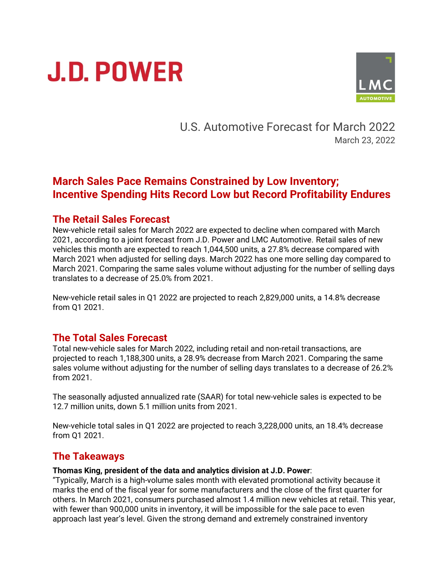# **J.D. POWER**



U.S. Automotive Forecast for March 2022 March 23, 2022

# **March Sales Pace Remains Constrained by Low Inventory; Incentive Spending Hits Record Low but Record Profitability Endures**

#### **The Retail Sales Forecast**

New-vehicle retail sales for March 2022 are expected to decline when compared with March 2021, according to a joint forecast from J.D. Power and LMC Automotive. Retail sales of new vehicles this month are expected to reach 1,044,500 units, a 27.8% decrease compared with March 2021 when adjusted for selling days. March 2022 has one more selling day compared to March 2021. Comparing the same sales volume without adjusting for the number of selling days translates to a decrease of 25.0% from 2021.

New-vehicle retail sales in Q1 2022 are projected to reach 2,829,000 units, a 14.8% decrease from Q1 2021.

### **The Total Sales Forecast**

Total new-vehicle sales for March 2022, including retail and non-retail transactions, are projected to reach 1,188,300 units, a 28.9% decrease from March 2021. Comparing the same sales volume without adjusting for the number of selling days translates to a decrease of 26.2% from 2021.

The seasonally adjusted annualized rate (SAAR) for total new-vehicle sales is expected to be 12.7 million units, down 5.1 million units from 2021.

New-vehicle total sales in Q1 2022 are projected to reach 3,228,000 units, an 18.4% decrease from Q1 2021.

## **The Takeaways**

#### **Thomas King, president of the data and analytics division at J.D. Power**:

"Typically, March is a high-volume sales month with elevated promotional activity because it marks the end of the fiscal year for some manufacturers and the close of the first quarter for others. In March 2021, consumers purchased almost 1.4 million new vehicles at retail. This year, with fewer than 900,000 units in inventory, it will be impossible for the sale pace to even approach last year's level. Given the strong demand and extremely constrained inventory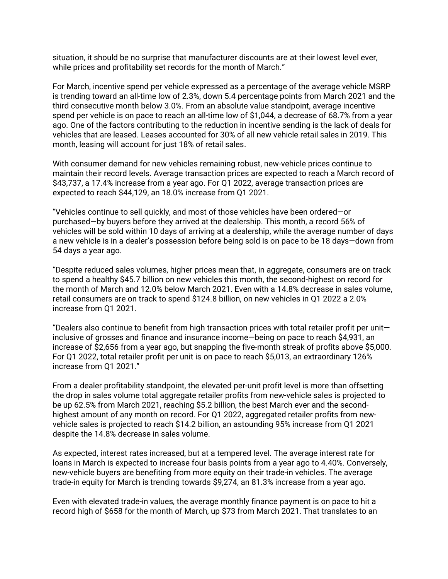situation, it should be no surprise that manufacturer discounts are at their lowest level ever, while prices and profitability set records for the month of March."

For March, incentive spend per vehicle expressed as a percentage of the average vehicle MSRP is trending toward an all-time low of 2.3%, down 5.4 percentage points from March 2021 and the third consecutive month below 3.0%. From an absolute value standpoint, average incentive spend per vehicle is on pace to reach an all-time low of \$1,044, a decrease of 68.7% from a year ago. One of the factors contributing to the reduction in incentive sending is the lack of deals for vehicles that are leased. Leases accounted for 30% of all new vehicle retail sales in 2019. This month, leasing will account for just 18% of retail sales.

With consumer demand for new vehicles remaining robust, new-vehicle prices continue to maintain their record levels. Average transaction prices are expected to reach a March record of \$43,737, a 17.4% increase from a year ago. For Q1 2022, average transaction prices are expected to reach \$44,129, an 18.0% increase from Q1 2021.

"Vehicles continue to sell quickly, and most of those vehicles have been ordered—or purchased—by buyers before they arrived at the dealership. This month, a record 56% of vehicles will be sold within 10 days of arriving at a dealership, while the average number of days a new vehicle is in a dealer's possession before being sold is on pace to be 18 days—down from 54 days a year ago.

"Despite reduced sales volumes, higher prices mean that, in aggregate, consumers are on track to spend a healthy \$45.7 billion on new vehicles this month, the second-highest on record for the month of March and 12.0% below March 2021. Even with a 14.8% decrease in sales volume, retail consumers are on track to spend \$124.8 billion, on new vehicles in Q1 2022 a 2.0% increase from Q1 2021.

"Dealers also continue to benefit from high transaction prices with total retailer profit per unit inclusive of grosses and finance and insurance income—being on pace to reach \$4,931, an increase of \$2,656 from a year ago, but snapping the five-month streak of profits above \$5,000. For Q1 2022, total retailer profit per unit is on pace to reach \$5,013, an extraordinary 126% increase from Q1 2021."

From a dealer profitability standpoint, the elevated per-unit profit level is more than offsetting the drop in sales volume total aggregate retailer profits from new-vehicle sales is projected to be up 62.5% from March 2021, reaching \$5.2 billion, the best March ever and the secondhighest amount of any month on record. For Q1 2022, aggregated retailer profits from newvehicle sales is projected to reach \$14.2 billion, an astounding 95% increase from Q1 2021 despite the 14.8% decrease in sales volume.

As expected, interest rates increased, but at a tempered level. The average interest rate for loans in March is expected to increase four basis points from a year ago to 4.40%. Conversely, new-vehicle buyers are benefiting from more equity on their trade-in vehicles. The average trade-in equity for March is trending towards \$9,274, an 81.3% increase from a year ago.

Even with elevated trade-in values, the average monthly finance payment is on pace to hit a record high of \$658 for the month of March, up \$73 from March 2021. That translates to an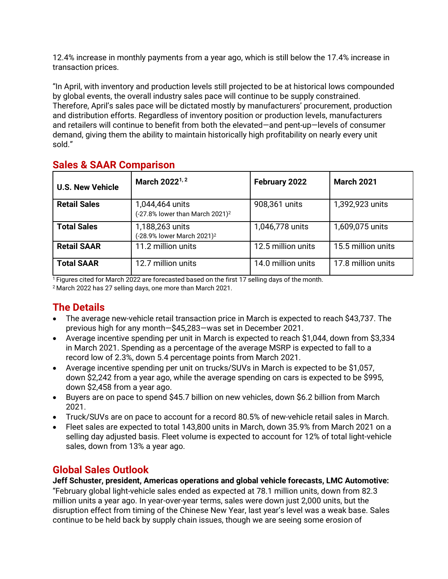12.4% increase in monthly payments from a year ago, which is still below the 17.4% increase in transaction prices.

"In April, with inventory and production levels still projected to be at historical lows compounded by global events, the overall industry sales pace will continue to be supply constrained. Therefore, April's sales pace will be dictated mostly by manufacturers' procurement, production and distribution efforts. Regardless of inventory position or production levels, manufacturers and retailers will continue to benefit from both the elevated—and pent-up—levels of consumer demand, giving them the ability to maintain historically high profitability on nearly every unit sold."

| <b>U.S. New Vehicle</b> | March 2022 <sup>1, 2</sup>                                     | February 2022      | <b>March 2021</b>  |
|-------------------------|----------------------------------------------------------------|--------------------|--------------------|
| <b>Retail Sales</b>     | 1,044,464 units<br>(-27.8% lower than March 2021) <sup>2</sup> | 908,361 units      | 1,392,923 units    |
| <b>Total Sales</b>      | 1,188,263 units<br>(-28.9% lower March 2021) <sup>2</sup>      | 1,046,778 units    | 1,609,075 units    |
| <b>Retail SAAR</b>      | 11.2 million units                                             | 12.5 million units | 15.5 million units |
| <b>Total SAAR</b>       | 12.7 million units                                             | 14.0 million units | 17.8 million units |

# **Sales & SAAR Comparison**

<sup>1</sup> Figures cited for March 2022 are forecasted based on the first 17 selling days of the month.

<sup>2</sup> March 2022 has 27 selling days, one more than March 2021.

# **The Details**

- The average new-vehicle retail transaction price in March is expected to reach \$43,737. The previous high for any month—\$45,283—was set in December 2021.
- Average incentive spending per unit in March is expected to reach \$1,044, down from \$3,334 in March 2021. Spending as a percentage of the average MSRP is expected to fall to a record low of 2.3%, down 5.4 percentage points from March 2021.
- Average incentive spending per unit on trucks/SUVs in March is expected to be \$1,057, down \$2,242 from a year ago, while the average spending on cars is expected to be \$995, down \$2,458 from a year ago.
- Buyers are on pace to spend \$45.7 billion on new vehicles, down \$6.2 billion from March 2021.
- Truck/SUVs are on pace to account for a record 80.5% of new-vehicle retail sales in March.
- Fleet sales are expected to total 143,800 units in March, down 35.9% from March 2021 on a selling day adjusted basis. Fleet volume is expected to account for 12% of total light-vehicle sales, down from 13% a year ago.

## **Global Sales Outlook**

#### **Jeff Schuster, president, Americas operations and global vehicle forecasts, LMC Automotive:**

"February global light-vehicle sales ended as expected at 78.1 million units, down from 82.3 million units a year ago. In year-over-year terms, sales were down just 2,000 units, but the disruption effect from timing of the Chinese New Year, last year's level was a weak base. Sales continue to be held back by supply chain issues, though we are seeing some erosion of